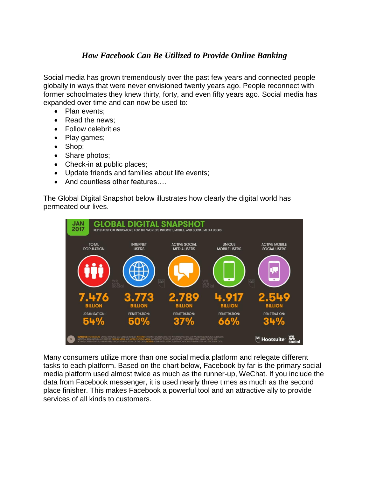## *How Facebook Can Be Utilized to Provide Online Banking*

Social media has grown tremendously over the past few years and connected people globally in ways that were never envisioned twenty years ago. People reconnect with former schoolmates they knew thirty, forty, and even fifty years ago. Social media has expanded over time and can now be used to:

- Plan events;
- Read the news:
- Follow celebrities
- Play games;
- Shop;
- Share photos;
- Check-in at public places;
- Update friends and families about life events;
- And countless other features....

The Global Digital Snapshot below illustrates how clearly the digital world has permeated our lives.



Many consumers utilize more than one social media platform and relegate different tasks to each platform. Based on the chart below, Facebook by far is the primary social media platform used almost twice as much as the runner-up, WeChat. If you include the data from Facebook messenger, it is used nearly three times as much as the second place finisher. This makes Facebook a powerful tool and an attractive ally to provide services of all kinds to customers.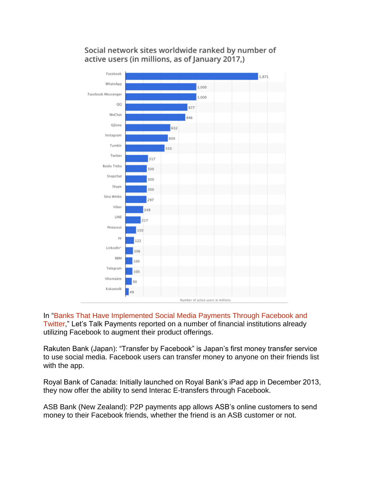Social network sites worldwide ranked by number of active users (in millions, as of January 2017,)



In ["Banks That Have Implemented Social Media Payments Through Facebook and](https://letstalkpayments.com/banks-that-have-implemented-social-media-payments-through-facebook-and-twitter-2/)  [Twitter,](https://letstalkpayments.com/banks-that-have-implemented-social-media-payments-through-facebook-and-twitter-2/)" Let's Talk Payments reported on a number of financial institutions already utilizing Facebook to augment their product offerings.

Rakuten Bank (Japan): "Transfer by Facebook" is Japan's first money transfer service to use social media. Facebook users can transfer money to anyone on their friends list with the app.

Royal Bank of Canada: Initially launched on Royal Bank's iPad app in December 2013, they now offer the ability to send Interac E-transfers through Facebook.

ASB Bank (New Zealand): P2P payments app allows ASB's online customers to send money to their Facebook friends, whether the friend is an ASB customer or not.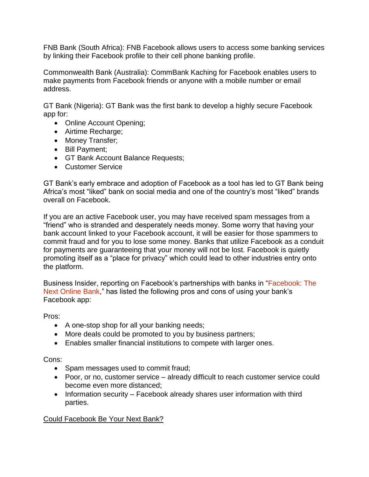FNB Bank (South Africa): FNB Facebook allows users to access some banking services by linking their Facebook profile to their cell phone banking profile.

Commonwealth Bank (Australia): CommBank Kaching for Facebook enables users to make payments from Facebook friends or anyone with a mobile number or email address.

GT Bank (Nigeria): GT Bank was the first bank to develop a highly secure Facebook app for:

- Online Account Opening:
- Airtime Recharge;
- Money Transfer;
- Bill Payment;
- GT Bank Account Balance Requests;
- Customer Service

GT Bank's early embrace and adoption of Facebook as a tool has led to GT Bank being Africa's most "liked" bank on social media and one of the country's most "liked" brands overall on Facebook.

If you are an active Facebook user, you may have received spam messages from a "friend" who is stranded and desperately needs money. Some worry that having your bank account linked to your Facebook account, it will be easier for those spammers to commit fraud and for you to lose some money. Banks that utilize Facebook as a conduit for payments are guaranteeing that your money will not be lost. Facebook is quietly promoting itself as a "place for privacy" which could lead to other industries entry onto the platform.

Business Insider, reporting on Facebook's partnerships with banks in ["Facebook: The](http://www.businessinsider.com/facebook-the-next-online-bank-2012-7) [Next Online Bank,](http://www.businessinsider.com/facebook-the-next-online-bank-2012-7)" has listed the following pros and cons of using your bank's Facebook app:

Pros:

- A one-stop shop for all your banking needs;
- More deals could be promoted to you by business partners;
- Enables smaller financial institutions to compete with larger ones.

Cons:

- Spam messages used to commit fraud;
- Poor, or no, customer service already difficult to reach customer service could become even more distanced;
- Information security Facebook already shares user information with third parties.

Could Facebook Be Your Next Bank?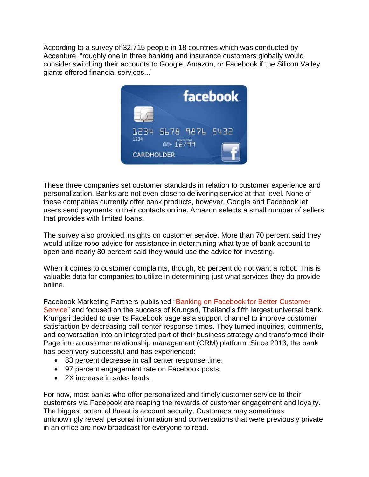According to a survey of 32,715 people in 18 countries which was conducted by Accenture, "roughly one in three banking and insurance customers globally would consider switching their accounts to Google, Amazon, or Facebook if the Silicon Valley giants offered financial services..."



These three companies set customer standards in relation to customer experience and personalization. Banks are not even close to delivering service at that level. None of these companies currently offer bank products, however, Google and Facebook let users send payments to their contacts online. Amazon selects a small number of sellers that provides with limited loans.

The survey also provided insights on customer service. More than 70 percent said they would utilize robo-advice for assistance in determining what type of bank account to open and nearly 80 percent said they would use the advice for investing.

When it comes to customer complaints, though, 68 percent do not want a robot. This is valuable data for companies to utilize in determining just what services they do provide online.

Facebook Marketing Partners published ["Banking on Facebook for Better Customer](https://facebookmarketingpartners.com/success-stories/banking-on-facebook-for-better-customer-service/)  [Service"](https://facebookmarketingpartners.com/success-stories/banking-on-facebook-for-better-customer-service/) and focused on the success of Krungsri, Thailand's fifth largest universal bank. Krungsri decided to use its Facebook page as a support channel to improve customer satisfaction by decreasing call center response times. They turned inquiries, comments, and conversation into an integrated part of their business strategy and transformed their Page into a customer relationship management (CRM) platform. Since 2013, the bank has been very successful and has experienced:

- 83 percent decrease in call center response time;
- 97 percent engagement rate on Facebook posts;
- 2X increase in sales leads.

For now, most banks who offer personalized and timely customer service to their customers via Facebook are reaping the rewards of customer engagement and loyalty. The biggest potential threat is account security. Customers may sometimes unknowingly reveal personal information and conversations that were previously private in an office are now broadcast for everyone to read.